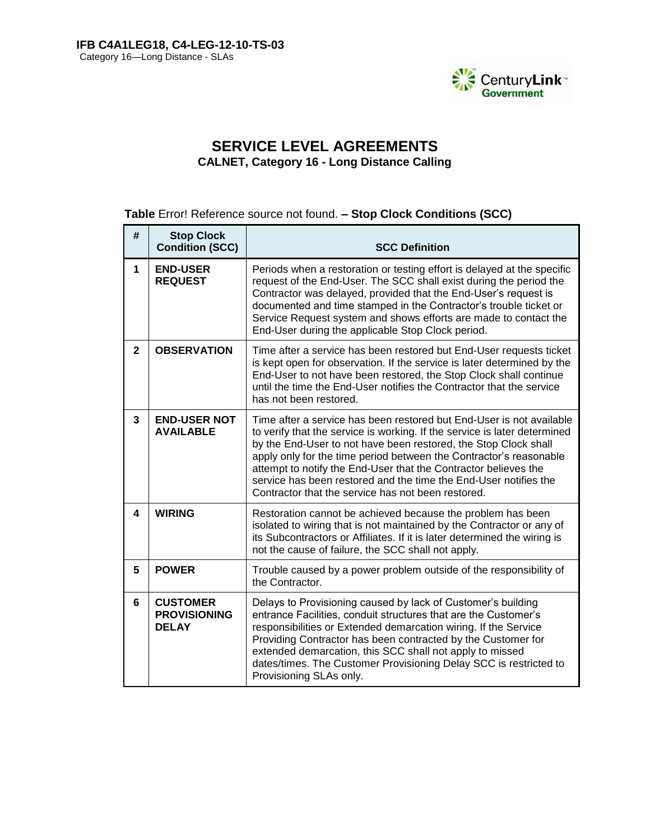

# **SERVICE LEVEL AGREEMENTS CALNET, Category 16 - Long Distance Calling**

## **Table** Error! Reference source not found. **– Stop Clock Conditions (SCC)**

| #            | <b>Stop Clock</b><br><b>Condition (SCC)</b>            | <b>SCC Definition</b>                                                                                                                                                                                                                                                                                                                                                                                                                                                                   |
|--------------|--------------------------------------------------------|-----------------------------------------------------------------------------------------------------------------------------------------------------------------------------------------------------------------------------------------------------------------------------------------------------------------------------------------------------------------------------------------------------------------------------------------------------------------------------------------|
| $\mathbf 1$  | <b>END-USER</b><br><b>REQUEST</b>                      | Periods when a restoration or testing effort is delayed at the specific<br>request of the End-User. The SCC shall exist during the period the<br>Contractor was delayed, provided that the End-User's request is<br>documented and time stamped in the Contractor's trouble ticket or<br>Service Request system and shows efforts are made to contact the<br>End-User during the applicable Stop Clock period.                                                                          |
| $\mathbf{2}$ | <b>OBSERVATION</b>                                     | Time after a service has been restored but End-User requests ticket<br>is kept open for observation. If the service is later determined by the<br>End-User to not have been restored, the Stop Clock shall continue<br>until the time the End-User notifies the Contractor that the service<br>has not been restored.                                                                                                                                                                   |
| 3            | <b>END-USER NOT</b><br><b>AVAILABLE</b>                | Time after a service has been restored but End-User is not available<br>to verify that the service is working. If the service is later determined<br>by the End-User to not have been restored, the Stop Clock shall<br>apply only for the time period between the Contractor's reasonable<br>attempt to notify the End-User that the Contractor believes the<br>service has been restored and the time the End-User notifies the<br>Contractor that the service has not been restored. |
| 4            | <b>WIRING</b>                                          | Restoration cannot be achieved because the problem has been<br>isolated to wiring that is not maintained by the Contractor or any of<br>its Subcontractors or Affiliates. If it is later determined the wiring is<br>not the cause of failure, the SCC shall not apply.                                                                                                                                                                                                                 |
| 5            | <b>POWER</b>                                           | Trouble caused by a power problem outside of the responsibility of<br>the Contractor.                                                                                                                                                                                                                                                                                                                                                                                                   |
| 6            | <b>CUSTOMER</b><br><b>PROVISIONING</b><br><b>DELAY</b> | Delays to Provisioning caused by lack of Customer's building<br>entrance Facilities, conduit structures that are the Customer's<br>responsibilities or Extended demarcation wiring. If the Service<br>Providing Contractor has been contracted by the Customer for<br>extended demarcation, this SCC shall not apply to missed<br>dates/times. The Customer Provisioning Delay SCC is restricted to<br>Provisioning SLAs only.                                                          |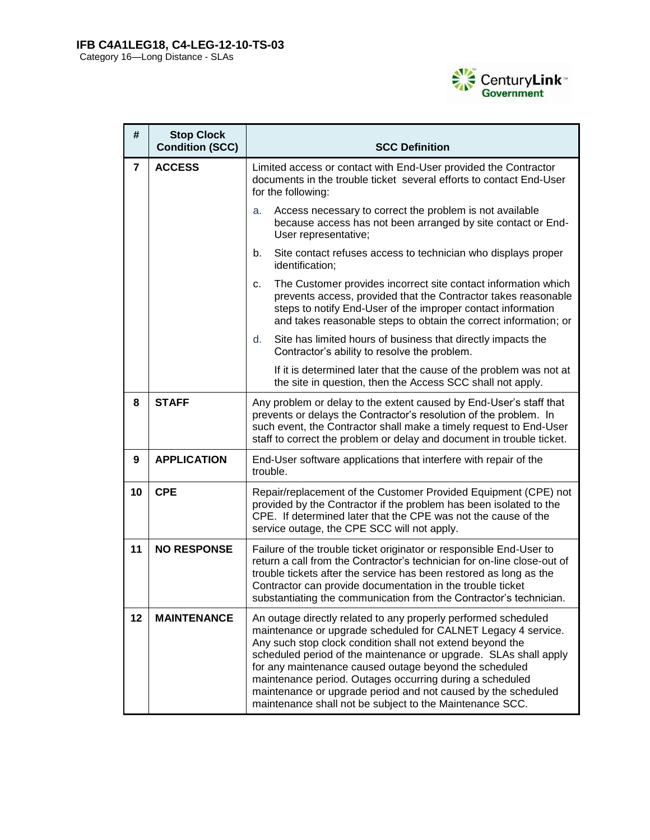

| #              | <b>Stop Clock</b><br><b>Condition (SCC)</b> | <b>SCC Definition</b>                                                                                                                                                                                                                                                                                                                                                                                                                                                                                               |  |  |  |  |  |  |
|----------------|---------------------------------------------|---------------------------------------------------------------------------------------------------------------------------------------------------------------------------------------------------------------------------------------------------------------------------------------------------------------------------------------------------------------------------------------------------------------------------------------------------------------------------------------------------------------------|--|--|--|--|--|--|
| $\overline{7}$ | <b>ACCESS</b>                               | Limited access or contact with End-User provided the Contractor<br>documents in the trouble ticket several efforts to contact End-User<br>for the following:                                                                                                                                                                                                                                                                                                                                                        |  |  |  |  |  |  |
|                |                                             | Access necessary to correct the problem is not available<br>a.<br>because access has not been arranged by site contact or End-<br>User representative;                                                                                                                                                                                                                                                                                                                                                              |  |  |  |  |  |  |
|                |                                             | Site contact refuses access to technician who displays proper<br>b.<br>identification;                                                                                                                                                                                                                                                                                                                                                                                                                              |  |  |  |  |  |  |
|                |                                             | The Customer provides incorrect site contact information which<br>c.<br>prevents access, provided that the Contractor takes reasonable<br>steps to notify End-User of the improper contact information<br>and takes reasonable steps to obtain the correct information; or                                                                                                                                                                                                                                          |  |  |  |  |  |  |
|                |                                             | d.<br>Site has limited hours of business that directly impacts the<br>Contractor's ability to resolve the problem.                                                                                                                                                                                                                                                                                                                                                                                                  |  |  |  |  |  |  |
|                |                                             | If it is determined later that the cause of the problem was not at<br>the site in question, then the Access SCC shall not apply.                                                                                                                                                                                                                                                                                                                                                                                    |  |  |  |  |  |  |
| 8              | <b>STAFF</b>                                | Any problem or delay to the extent caused by End-User's staff that<br>prevents or delays the Contractor's resolution of the problem. In<br>such event, the Contractor shall make a timely request to End-User<br>staff to correct the problem or delay and document in trouble ticket.                                                                                                                                                                                                                              |  |  |  |  |  |  |
| 9              | <b>APPLICATION</b>                          | End-User software applications that interfere with repair of the<br>trouble.                                                                                                                                                                                                                                                                                                                                                                                                                                        |  |  |  |  |  |  |
| 10             | <b>CPE</b>                                  | Repair/replacement of the Customer Provided Equipment (CPE) not<br>provided by the Contractor if the problem has been isolated to the<br>CPE. If determined later that the CPE was not the cause of the<br>service outage, the CPE SCC will not apply.                                                                                                                                                                                                                                                              |  |  |  |  |  |  |
| 11             | <b>NO RESPONSE</b>                          | Failure of the trouble ticket originator or responsible End-User to<br>return a call from the Contractor's technician for on-line close-out of<br>trouble tickets after the service has been restored as long as the<br>Contractor can provide documentation in the trouble ticket<br>substantiating the communication from the Contractor's technician.                                                                                                                                                            |  |  |  |  |  |  |
| 12             | <b>MAINTENANCE</b>                          | An outage directly related to any properly performed scheduled<br>maintenance or upgrade scheduled for CALNET Legacy 4 service.<br>Any such stop clock condition shall not extend beyond the<br>scheduled period of the maintenance or upgrade. SLAs shall apply<br>for any maintenance caused outage beyond the scheduled<br>maintenance period. Outages occurring during a scheduled<br>maintenance or upgrade period and not caused by the scheduled<br>maintenance shall not be subject to the Maintenance SCC. |  |  |  |  |  |  |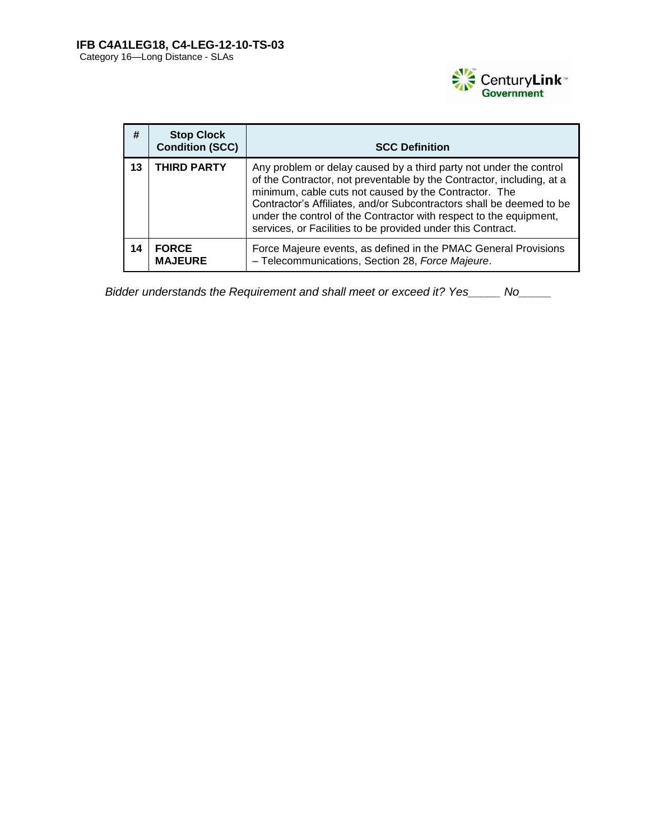

| #  | <b>Stop Clock</b><br><b>Condition (SCC)</b> | <b>SCC Definition</b>                                                                                                                                                                                                                                                                                                                                                                                             |
|----|---------------------------------------------|-------------------------------------------------------------------------------------------------------------------------------------------------------------------------------------------------------------------------------------------------------------------------------------------------------------------------------------------------------------------------------------------------------------------|
| 13 | <b>THIRD PARTY</b>                          | Any problem or delay caused by a third party not under the control<br>of the Contractor, not preventable by the Contractor, including, at a<br>minimum, cable cuts not caused by the Contractor. The<br>Contractor's Affiliates, and/or Subcontractors shall be deemed to be<br>under the control of the Contractor with respect to the equipment,<br>services, or Facilities to be provided under this Contract. |
| 14 | <b>FORCE</b><br><b>MAJEURE</b>              | Force Majeure events, as defined in the PMAC General Provisions<br>- Telecommunications, Section 28, Force Majeure.                                                                                                                                                                                                                                                                                               |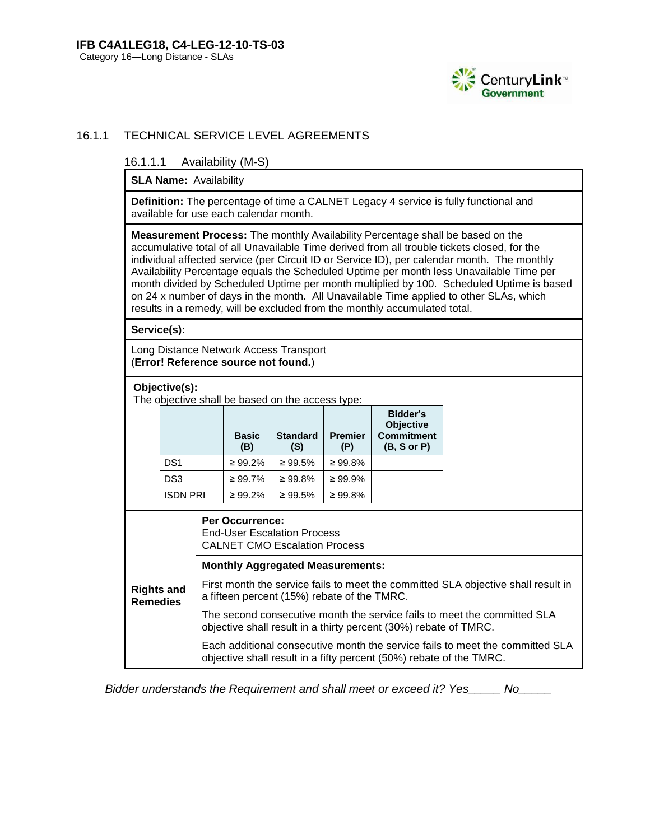

## 16.1.1 TECHNICAL SERVICE LEVEL AGREEMENTS

16.1.1.1 Availability (M-S)

**SLA Name: Availability** 

**Definition:** The percentage of time a CALNET Legacy 4 service is fully functional and available for use each calendar month.

**Measurement Process:** The monthly Availability Percentage shall be based on the accumulative total of all Unavailable Time derived from all trouble tickets closed, for the individual affected service (per Circuit ID or Service ID), per calendar month. The monthly Availability Percentage equals the Scheduled Uptime per month less Unavailable Time per month divided by Scheduled Uptime per month multiplied by 100. Scheduled Uptime is based on 24 x number of days in the month. All Unavailable Time applied to other SLAs, which results in a remedy, will be excluded from the monthly accumulated total.

**Service(s):**

Long Distance Network Access Transport (**Error! Reference source not found.**)

| Objective(s): |
|---------------|
|---------------|

The objective shall be based on the access type:

|                 | <b>Basic</b><br>(B) | <b>Standard</b><br>(S) | <b>Premier</b><br>(P) | Bidder's<br><b>Objective</b><br><b>Commitment</b><br>(B, S or P) |
|-----------------|---------------------|------------------------|-----------------------|------------------------------------------------------------------|
| DS <sub>1</sub> | $\geq 99.2\%$       | $\geq 99.5\%$          | $\geq 99.8\%$         |                                                                  |
| DS <sub>3</sub> | $\geq 99.7\%$       | $\geq 99.8\%$          | $\geq 99.9\%$         |                                                                  |
| <b>ISDN PRI</b> | $\geq 99.2\%$       | $\geq 99.5\%$          | $\geq 99.8\%$         |                                                                  |

|                                      | <b>Per Occurrence:</b><br><b>End-User Escalation Process</b><br><b>CALNET CMO Escalation Process</b>                                                 |  |  |  |  |  |  |
|--------------------------------------|------------------------------------------------------------------------------------------------------------------------------------------------------|--|--|--|--|--|--|
|                                      | <b>Monthly Aggregated Measurements:</b>                                                                                                              |  |  |  |  |  |  |
| <b>Rights and</b><br><b>Remedies</b> | First month the service fails to meet the committed SLA objective shall result in<br>a fifteen percent (15%) rebate of the TMRC.                     |  |  |  |  |  |  |
|                                      | The second consecutive month the service fails to meet the committed SLA<br>objective shall result in a thirty percent (30%) rebate of TMRC.         |  |  |  |  |  |  |
|                                      | Each additional consecutive month the service fails to meet the committed SLA<br>objective shall result in a fifty percent (50%) rebate of the TMRC. |  |  |  |  |  |  |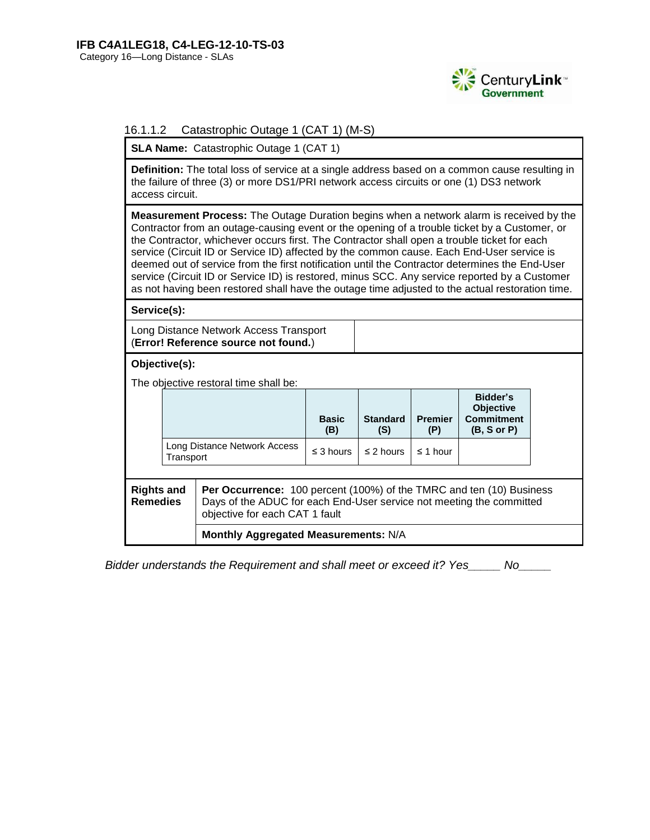

## 16.1.1.2 Catastrophic Outage 1 (CAT 1) (M-S)

**SLA Name: Catastrophic Outage 1 (CAT 1)** 

**Definition:** The total loss of service at a single address based on a common cause resulting in the failure of three (3) or more DS1/PRI network access circuits or one (1) DS3 network access circuit.

**Measurement Process:** The Outage Duration begins when a network alarm is received by the Contractor from an outage-causing event or the opening of a trouble ticket by a Customer, or the Contractor, whichever occurs first. The Contractor shall open a trouble ticket for each service (Circuit ID or Service ID) affected by the common cause. Each End-User service is deemed out of service from the first notification until the Contractor determines the End-User service (Circuit ID or Service ID) is restored, minus SCC. Any service reported by a Customer as not having been restored shall have the outage time adjusted to the actual restoration time.

**Service(s):**

Long Distance Network Access Transport (**Error! Reference source not found.**)

## **Objective(s):**

The objective restoral time shall be:

|                                                                                                                                                                                                                               |                                           |  | <b>Basic</b><br>(B) | <b>Standard</b><br>(S) | <b>Premier</b><br>(P) | Bidder's<br><b>Objective</b><br><b>Commitment</b><br>(B, S or P) |  |
|-------------------------------------------------------------------------------------------------------------------------------------------------------------------------------------------------------------------------------|-------------------------------------------|--|---------------------|------------------------|-----------------------|------------------------------------------------------------------|--|
|                                                                                                                                                                                                                               | Long Distance Network Access<br>Transport |  | $\leq$ 3 hours      | $\leq$ 2 hours         | $\leq$ 1 hour         |                                                                  |  |
|                                                                                                                                                                                                                               |                                           |  |                     |                        |                       |                                                                  |  |
| <b>Rights and</b><br><b>Per Occurrence:</b> 100 percent (100%) of the TMRC and ten (10) Business<br><b>Remedies</b><br>Days of the ADUC for each End-User service not meeting the committed<br>objective for each CAT 1 fault |                                           |  |                     |                        |                       |                                                                  |  |

**Monthly Aggregated Measurements:** N/A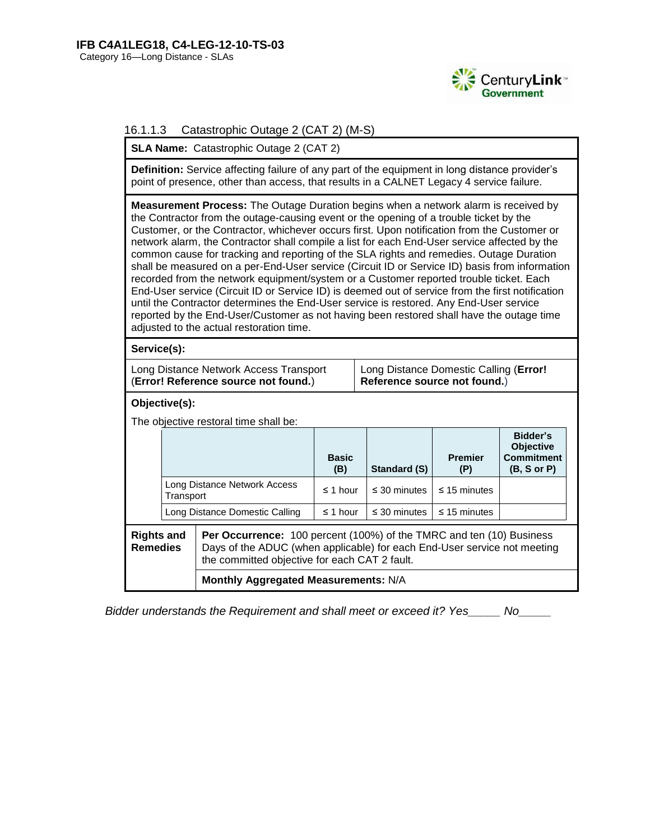

## 16.1.1.3 Catastrophic Outage 2 (CAT 2) (M-S)

**SLA Name:** Catastrophic Outage 2 (CAT 2)

**Definition:** Service affecting failure of any part of the equipment in long distance provider's point of presence, other than access, that results in a CALNET Legacy 4 service failure.

**Measurement Process:** The Outage Duration begins when a network alarm is received by the Contractor from the outage-causing event or the opening of a trouble ticket by the Customer, or the Contractor, whichever occurs first. Upon notification from the Customer or network alarm, the Contractor shall compile a list for each End-User service affected by the common cause for tracking and reporting of the SLA rights and remedies. Outage Duration shall be measured on a per-End-User service (Circuit ID or Service ID) basis from information recorded from the network equipment/system or a Customer reported trouble ticket. Each End-User service (Circuit ID or Service ID) is deemed out of service from the first notification until the Contractor determines the End-User service is restored. Any End-User service reported by the End-User/Customer as not having been restored shall have the outage time adjusted to the actual restoration time.

**Service(s):**

| Long Distance Network Access Transport | Long Distance Domestic Calling (Error! |
|----------------------------------------|----------------------------------------|
| (Error! Reference source not found.)   | Reference source not found.)           |

**Objective(s):** 

The objective restoral time shall be:

|                                      |                                                                             |                                                                                                                                                                                                          | <b>Basic</b><br>(B) | Standard (S)      | <b>Premier</b><br>(P) | Bidder's<br><b>Objective</b><br><b>Commitment</b><br>$(B, S \text{ or } P)$ |
|--------------------------------------|-----------------------------------------------------------------------------|----------------------------------------------------------------------------------------------------------------------------------------------------------------------------------------------------------|---------------------|-------------------|-----------------------|-----------------------------------------------------------------------------|
|                                      | Long Distance Network Access<br>Transport<br>Long Distance Domestic Calling |                                                                                                                                                                                                          | $\leq$ 1 hour       | $\leq$ 30 minutes | $\leq$ 15 minutes     |                                                                             |
|                                      |                                                                             |                                                                                                                                                                                                          | $\leq$ 1 hour       | $\leq$ 30 minutes | $\leq$ 15 minutes     |                                                                             |
| <b>Rights and</b><br><b>Remedies</b> |                                                                             | <b>Per Occurrence:</b> 100 percent (100%) of the TMRC and ten (10) Business<br>Days of the ADUC (when applicable) for each End-User service not meeting<br>the committed objective for each CAT 2 fault. |                     |                   |                       |                                                                             |
|                                      | Monthly Aggregated Measurements: N/A                                        |                                                                                                                                                                                                          |                     |                   |                       |                                                                             |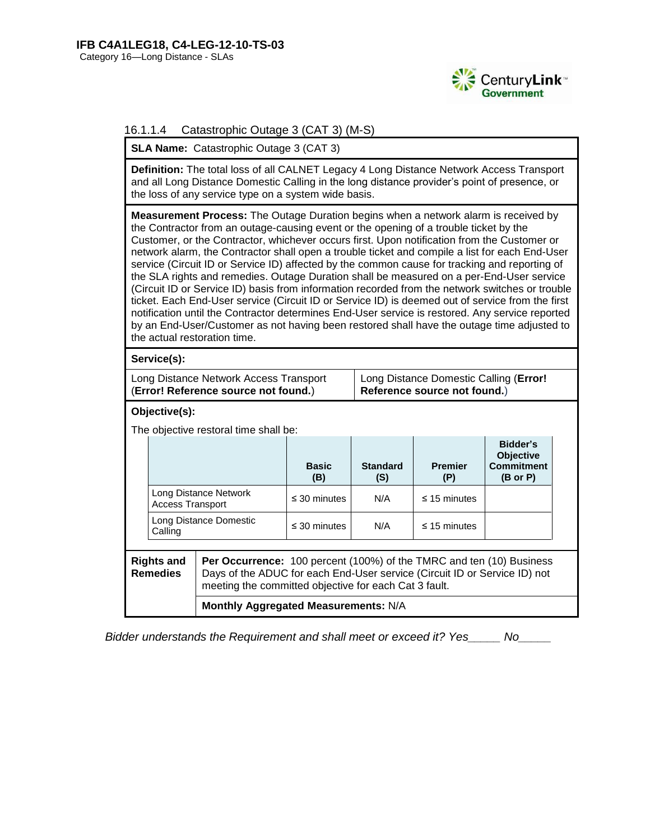

## 16.1.1.4 Catastrophic Outage 3 (CAT 3) (M-S)

**SLA Name:** Catastrophic Outage 3 (CAT 3)

**Definition:** The total loss of all CALNET Legacy 4 Long Distance Network Access Transport and all Long Distance Domestic Calling in the long distance provider's point of presence, or the loss of any service type on a system wide basis.

**Measurement Process:** The Outage Duration begins when a network alarm is received by the Contractor from an outage-causing event or the opening of a trouble ticket by the Customer, or the Contractor, whichever occurs first. Upon notification from the Customer or network alarm, the Contractor shall open a trouble ticket and compile a list for each End-User service (Circuit ID or Service ID) affected by the common cause for tracking and reporting of the SLA rights and remedies. Outage Duration shall be measured on a per-End-User service (Circuit ID or Service ID) basis from information recorded from the network switches or trouble ticket. Each End-User service (Circuit ID or Service ID) is deemed out of service from the first notification until the Contractor determines End-User service is restored. Any service reported by an End-User/Customer as not having been restored shall have the outage time adjusted to the actual restoration time.

**Service(s):**

| Long Distance Network Access Transport | 1 Long Distance Domestic Calling (Error! |
|----------------------------------------|------------------------------------------|
| (Error! Reference source not found.)   | Reference source not found.)             |

## **Objective(s):**

The objective restoral time shall be:

|                                                                                                                                                                                           |                                                  |  | <b>Basic</b><br>(B) | <b>Standard</b><br>(S) | <b>Premier</b><br>(P) | Bidder's<br><b>Objective</b><br><b>Commitment</b><br>(B or P) |
|-------------------------------------------------------------------------------------------------------------------------------------------------------------------------------------------|--------------------------------------------------|--|---------------------|------------------------|-----------------------|---------------------------------------------------------------|
|                                                                                                                                                                                           | Long Distance Network<br><b>Access Transport</b> |  | $\leq$ 30 minutes   | N/A                    | $\leq$ 15 minutes     |                                                               |
|                                                                                                                                                                                           | Long Distance Domestic<br>Calling                |  | $\leq$ 30 minutes   | N/A                    | $\leq$ 15 minutes     |                                                               |
| Per Occurrence: 100 percent (100%) of the TMRC and ten (10) Business<br><b>Rights and</b><br>Days of the ADUC for each End-User service (Circuit ID or Service ID) not<br><b>Remedies</b> |                                                  |  |                     |                        |                       |                                                               |

meeting the committed objective for each Cat 3 fault.

**Monthly Aggregated Measurements:** N/A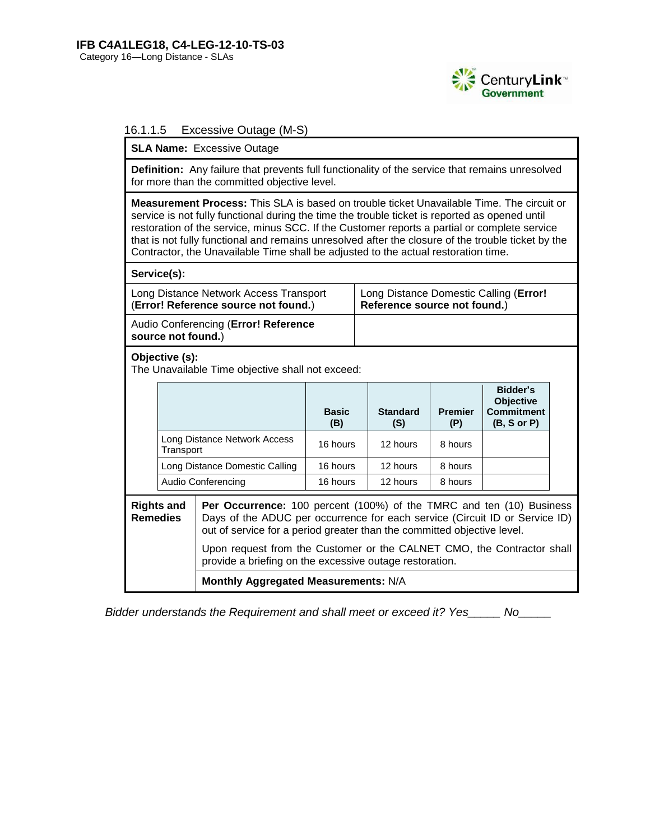

## 16.1.1.5 Excessive Outage (M-S)

**SLA Name:** Excessive Outage

**Definition:** Any failure that prevents full functionality of the service that remains unresolved for more than the committed objective level.

**Measurement Process:** This SLA is based on trouble ticket Unavailable Time. The circuit or service is not fully functional during the time the trouble ticket is reported as opened until restoration of the service, minus SCC. If the Customer reports a partial or complete service that is not fully functional and remains unresolved after the closure of the trouble ticket by the Contractor, the Unavailable Time shall be adjusted to the actual restoration time.

|                                                                                | Contractor, the Unavallable Time Shall be adjusted to the actual restoration time. |                                                                                                                                                                                                                                                                                                                 |                                                                        |  |                        |                       |                                                           |  |
|--------------------------------------------------------------------------------|------------------------------------------------------------------------------------|-----------------------------------------------------------------------------------------------------------------------------------------------------------------------------------------------------------------------------------------------------------------------------------------------------------------|------------------------------------------------------------------------|--|------------------------|-----------------------|-----------------------------------------------------------|--|
|                                                                                | Service(s):                                                                        |                                                                                                                                                                                                                                                                                                                 |                                                                        |  |                        |                       |                                                           |  |
| Long Distance Network Access Transport<br>(Error! Reference source not found.) |                                                                                    |                                                                                                                                                                                                                                                                                                                 | Long Distance Domestic Calling (Error!<br>Reference source not found.) |  |                        |                       |                                                           |  |
| Audio Conferencing (Error! Reference<br>source not found.)                     |                                                                                    |                                                                                                                                                                                                                                                                                                                 |                                                                        |  |                        |                       |                                                           |  |
|                                                                                | Objective (s):<br>The Unavailable Time objective shall not exceed:                 |                                                                                                                                                                                                                                                                                                                 |                                                                        |  |                        |                       |                                                           |  |
|                                                                                |                                                                                    |                                                                                                                                                                                                                                                                                                                 | <b>Basic</b><br>(B)                                                    |  | <b>Standard</b><br>(S) | <b>Premier</b><br>(P) | Bidder's<br>Objective<br><b>Commitment</b><br>(B, S or P) |  |
|                                                                                | Transport                                                                          | Long Distance Network Access                                                                                                                                                                                                                                                                                    | 16 hours                                                               |  | 12 hours               | 8 hours               |                                                           |  |
|                                                                                |                                                                                    | Long Distance Domestic Calling                                                                                                                                                                                                                                                                                  | 16 hours                                                               |  | 12 hours               | 8 hours               |                                                           |  |
|                                                                                |                                                                                    | Audio Conferencing                                                                                                                                                                                                                                                                                              | 16 hours                                                               |  | 12 hours               | 8 hours               |                                                           |  |
| <b>Rights and</b><br><b>Remedies</b>                                           |                                                                                    | <b>Per Occurrence:</b> 100 percent (100%) of the TMRC and ten (10) Business<br>Days of the ADUC per occurrence for each service (Circuit ID or Service ID)<br>out of service for a period greater than the committed objective level.<br>Upon request from the Customer or the CALNET CMO, the Contractor shall |                                                                        |  |                        |                       |                                                           |  |
|                                                                                |                                                                                    | provide a briefing on the excessive outage restoration.                                                                                                                                                                                                                                                         |                                                                        |  |                        |                       |                                                           |  |
|                                                                                |                                                                                    | Monthly Aggregated Measurements: N/A                                                                                                                                                                                                                                                                            |                                                                        |  |                        |                       |                                                           |  |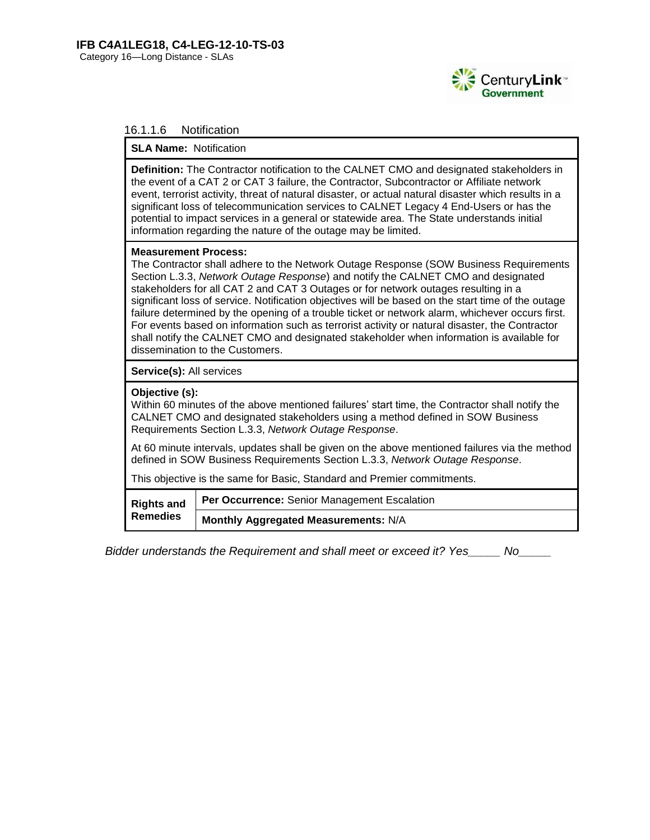

## 16.1.1.6 Notification

#### **SLA Name:** Notification

**Definition:** The Contractor notification to the CALNET CMO and designated stakeholders in the event of a CAT 2 or CAT 3 failure, the Contractor, Subcontractor or Affiliate network event, terrorist activity, threat of natural disaster, or actual natural disaster which results in a significant loss of telecommunication services to CALNET Legacy 4 End-Users or has the potential to impact services in a general or statewide area. The State understands initial information regarding the nature of the outage may be limited.

#### **Measurement Process:**

The Contractor shall adhere to the Network Outage Response (SOW Business Requirements Section L.3.3, *Network Outage Response*) and notify the CALNET CMO and designated stakeholders for all CAT 2 and CAT 3 Outages or for network outages resulting in a significant loss of service. Notification objectives will be based on the start time of the outage failure determined by the opening of a trouble ticket or network alarm, whichever occurs first. For events based on information such as terrorist activity or natural disaster, the Contractor shall notify the CALNET CMO and designated stakeholder when information is available for dissemination to the Customers.

**Service(s):** All services

#### **Objective (s):**

Within 60 minutes of the above mentioned failures' start time, the Contractor shall notify the CALNET CMO and designated stakeholders using a method defined in SOW Business Requirements Section L.3.3, *Network Outage Response*.

At 60 minute intervals, updates shall be given on the above mentioned failures via the method defined in SOW Business Requirements Section L.3.3, *Network Outage Response*.

This objective is the same for Basic, Standard and Premier commitments.

| <b>Rights and</b><br><b>Remedies</b> | Per Occurrence: Senior Management Escalation |
|--------------------------------------|----------------------------------------------|
|                                      | Monthly Aggregated Measurements: N/A         |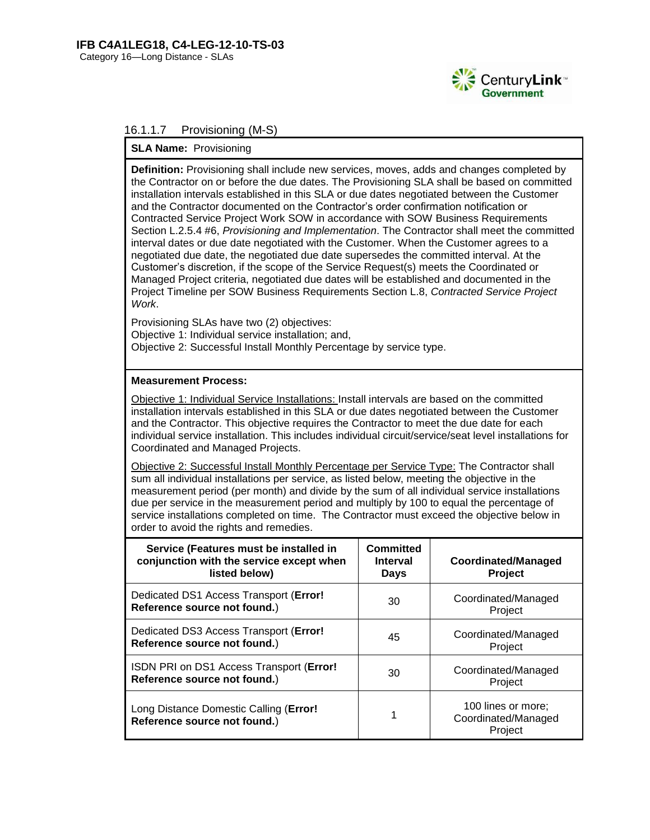

## 16.1.1.7 Provisioning (M-S)

#### **SLA Name:** Provisioning

**Definition:** Provisioning shall include new services, moves, adds and changes completed by the Contractor on or before the due dates. The Provisioning SLA shall be based on committed installation intervals established in this SLA or due dates negotiated between the Customer and the Contractor documented on the Contractor's order confirmation notification or Contracted Service Project Work SOW in accordance with SOW Business Requirements Section L.2.5.4 #6, *Provisioning and Implementation*. The Contractor shall meet the committed interval dates or due date negotiated with the Customer. When the Customer agrees to a negotiated due date, the negotiated due date supersedes the committed interval. At the Customer's discretion, if the scope of the Service Request(s) meets the Coordinated or Managed Project criteria, negotiated due dates will be established and documented in the Project Timeline per SOW Business Requirements Section L.8, *Contracted Service Project Work*.

Provisioning SLAs have two (2) objectives: Objective 1: Individual service installation; and, Objective 2: Successful Install Monthly Percentage by service type.

#### **Measurement Process:**

Objective 1: Individual Service Installations: Install intervals are based on the committed installation intervals established in this SLA or due dates negotiated between the Customer and the Contractor. This objective requires the Contractor to meet the due date for each individual service installation. This includes individual circuit/service/seat level installations for Coordinated and Managed Projects.

Objective 2: Successful Install Monthly Percentage per Service Type: The Contractor shall sum all individual installations per service, as listed below, meeting the objective in the measurement period (per month) and divide by the sum of all individual service installations due per service in the measurement period and multiply by 100 to equal the percentage of service installations completed on time. The Contractor must exceed the objective below in order to avoid the rights and remedies.

| Service (Features must be installed in<br>conjunction with the service except when<br>listed below) | Committed<br><b>Interval</b><br>Days | <b>Coordinated/Managed</b><br>Project                |
|-----------------------------------------------------------------------------------------------------|--------------------------------------|------------------------------------------------------|
| Dedicated DS1 Access Transport (Error!<br>Reference source not found.)                              | 30                                   | Coordinated/Managed<br>Project                       |
| Dedicated DS3 Access Transport (Error!<br>Reference source not found.)                              | 45                                   | Coordinated/Managed<br>Project                       |
| ISDN PRI on DS1 Access Transport (Error!<br>Reference source not found.)                            | 30                                   | Coordinated/Managed<br>Project                       |
| Long Distance Domestic Calling (Error!<br>Reference source not found.)                              |                                      | 100 lines or more;<br>Coordinated/Managed<br>Project |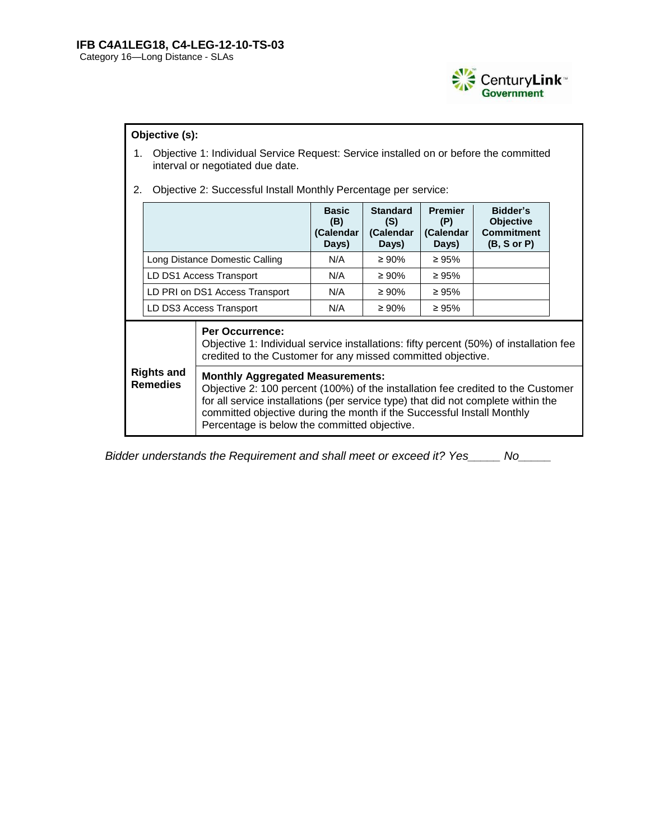

## **Objective (s):**

- 1. Objective 1: Individual Service Request: Service installed on or before the committed interval or negotiated due date.
- 2. Objective 2: Successful Install Monthly Percentage per service:

|                                      |  |                                                                                                                                                                                                                                                                                                                                            | <b>Basic</b><br>(B)<br>(Calendar<br>Days) | <b>Standard</b><br>(S)<br>(Calendar<br>Days) | <b>Premier</b><br>(P)<br>(Calendar<br>Days) | Bidder's<br><b>Objective</b><br><b>Commitment</b><br>(B, S or P) |  |
|--------------------------------------|--|--------------------------------------------------------------------------------------------------------------------------------------------------------------------------------------------------------------------------------------------------------------------------------------------------------------------------------------------|-------------------------------------------|----------------------------------------------|---------------------------------------------|------------------------------------------------------------------|--|
|                                      |  | Long Distance Domestic Calling                                                                                                                                                                                                                                                                                                             | N/A                                       | $\geq 90\%$                                  | $\geq 95\%$                                 |                                                                  |  |
|                                      |  | LD DS1 Access Transport                                                                                                                                                                                                                                                                                                                    | N/A                                       | $\geq 90\%$                                  | $\geq 95\%$                                 |                                                                  |  |
|                                      |  | LD PRI on DS1 Access Transport                                                                                                                                                                                                                                                                                                             | N/A                                       | $\geq 90\%$                                  | $\geq 95\%$                                 |                                                                  |  |
|                                      |  | LD DS3 Access Transport                                                                                                                                                                                                                                                                                                                    | N/A                                       | $\geq 90\%$                                  | $\geq 95\%$                                 |                                                                  |  |
| <b>Rights and</b><br><b>Remedies</b> |  | <b>Per Occurrence:</b><br>Objective 1: Individual service installations: fifty percent (50%) of installation fee<br>credited to the Customer for any missed committed objective.                                                                                                                                                           |                                           |                                              |                                             |                                                                  |  |
|                                      |  | <b>Monthly Aggregated Measurements:</b><br>Objective 2: 100 percent (100%) of the installation fee credited to the Customer<br>for all service installations (per service type) that did not complete within the<br>committed objective during the month if the Successful Install Monthly<br>Percentage is below the committed objective. |                                           |                                              |                                             |                                                                  |  |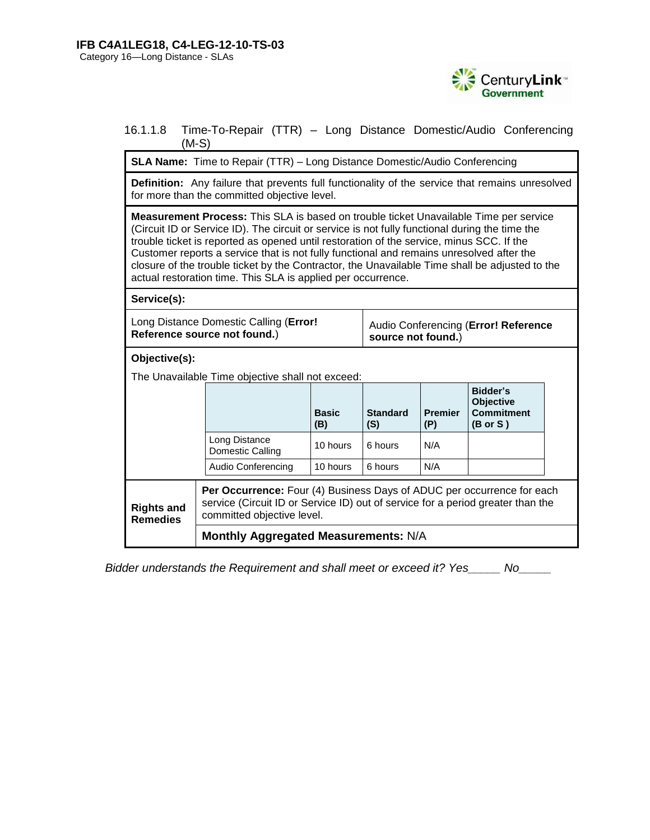

## 16.1.1.8 Time-To-Repair (TTR) – Long Distance Domestic/Audio Conferencing (M-S)

**SLA Name:** Time to Repair (TTR) – Long Distance Domestic/Audio Conferencing

**Definition:** Any failure that prevents full functionality of the service that remains unresolved for more than the committed objective level.

**Measurement Process:** This SLA is based on trouble ticket Unavailable Time per service (Circuit ID or Service ID). The circuit or service is not fully functional during the time the trouble ticket is reported as opened until restoration of the service, minus SCC. If the Customer reports a service that is not fully functional and remains unresolved after the closure of the trouble ticket by the Contractor, the Unavailable Time shall be adjusted to the actual restoration time. This SLA is applied per occurrence.

**Service(s):**

| Long Distance Domestic Calling (Error! | Audio Conferencing (Error! Reference |
|----------------------------------------|--------------------------------------|
| Reference source not found.)           | source not found.)                   |

**Objective(s):** 

The Unavailable Time objective shall not exceed:

|                                      |                                                                                                                                                                                                | <b>Basic</b><br>(B) | <b>Standard</b><br>(S) | <b>Premier</b><br>(P) | Bidder's<br><b>Objective</b><br><b>Commitment</b><br>$(B \text{ or } S)$ |  |
|--------------------------------------|------------------------------------------------------------------------------------------------------------------------------------------------------------------------------------------------|---------------------|------------------------|-----------------------|--------------------------------------------------------------------------|--|
|                                      | Long Distance<br>Domestic Calling                                                                                                                                                              | 10 hours            | 6 hours                | N/A                   |                                                                          |  |
|                                      | Audio Conferencing                                                                                                                                                                             | 10 hours            | 6 hours                | N/A                   |                                                                          |  |
| <b>Rights and</b><br><b>Remedies</b> | <b>Per Occurrence:</b> Four (4) Business Days of ADUC per occurrence for each<br>service (Circuit ID or Service ID) out of service for a period greater than the<br>committed objective level. |                     |                        |                       |                                                                          |  |
|                                      | Monthly Aggregated Measurements: N/A                                                                                                                                                           |                     |                        |                       |                                                                          |  |